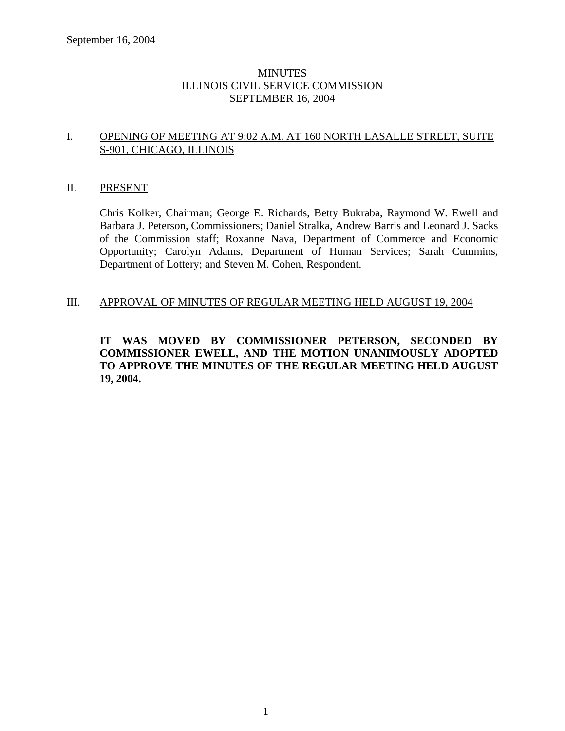### **MINUTES** ILLINOIS CIVIL SERVICE COMMISSION SEPTEMBER 16, 2004

### I. OPENING OF MEETING AT 9:02 A.M. AT 160 NORTH LASALLE STREET, SUITE S-901, CHICAGO, ILLINOIS

### II. PRESENT

Chris Kolker, Chairman; George E. Richards, Betty Bukraba, Raymond W. Ewell and Barbara J. Peterson, Commissioners; Daniel Stralka, Andrew Barris and Leonard J. Sacks of the Commission staff; Roxanne Nava, Department of Commerce and Economic Opportunity; Carolyn Adams, Department of Human Services; Sarah Cummins, Department of Lottery; and Steven M. Cohen, Respondent.

#### III. APPROVAL OF MINUTES OF REGULAR MEETING HELD AUGUST 19, 2004

### **IT WAS MOVED BY COMMISSIONER PETERSON, SECONDED BY COMMISSIONER EWELL, AND THE MOTION UNANIMOUSLY ADOPTED TO APPROVE THE MINUTES OF THE REGULAR MEETING HELD AUGUST 19, 2004.**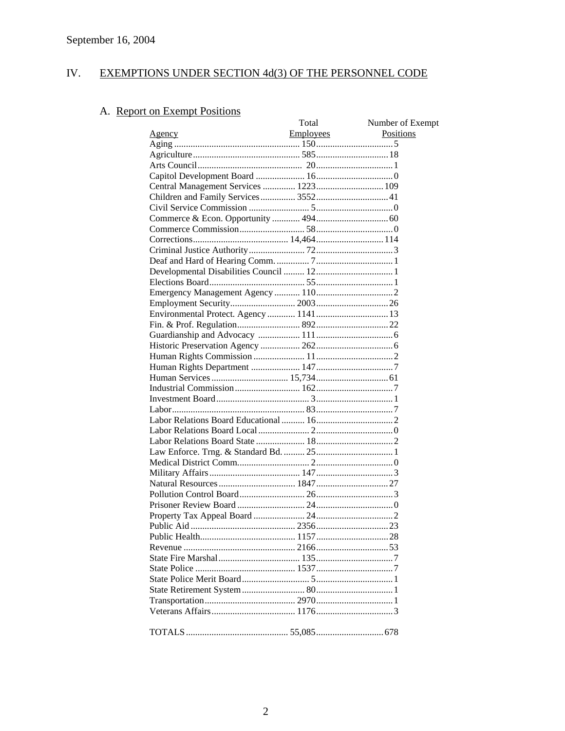#### IV. EXEMPTIONS UNDER SECTION 4d(3) OF THE PERSONNEL CODE

# A. Report on Exempt Positions

| Employees<br>Positions<br><u>Agency</u> | Total | Number of Exempt |
|-----------------------------------------|-------|------------------|
|                                         |       |                  |
|                                         |       |                  |
|                                         |       |                  |
|                                         |       |                  |
|                                         |       |                  |
|                                         |       |                  |
|                                         |       |                  |
|                                         |       |                  |
|                                         |       |                  |
|                                         |       |                  |
|                                         |       |                  |
|                                         |       |                  |
|                                         |       |                  |
|                                         |       |                  |
|                                         |       |                  |
|                                         |       |                  |
|                                         |       |                  |
|                                         |       |                  |
|                                         |       |                  |
|                                         |       |                  |
|                                         |       |                  |
|                                         |       |                  |
|                                         |       |                  |
|                                         |       |                  |
|                                         |       |                  |
|                                         |       |                  |
|                                         |       |                  |
|                                         |       |                  |
|                                         |       |                  |
|                                         |       |                  |
|                                         |       |                  |
|                                         |       |                  |
|                                         |       |                  |
|                                         |       |                  |
|                                         |       |                  |
|                                         |       |                  |
|                                         |       |                  |
|                                         |       |                  |
|                                         |       |                  |
|                                         |       |                  |
|                                         |       |                  |
|                                         |       |                  |
|                                         |       |                  |
|                                         |       |                  |
|                                         |       |                  |
|                                         |       |                  |
|                                         |       |                  |
|                                         |       |                  |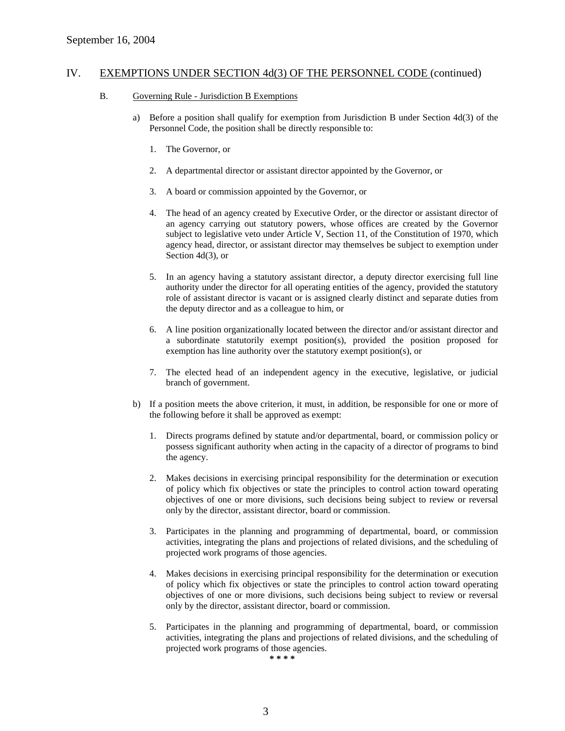#### B. Governing Rule - Jurisdiction B Exemptions

- a) Before a position shall qualify for exemption from Jurisdiction B under Section 4d(3) of the Personnel Code, the position shall be directly responsible to:
	- 1. The Governor, or
	- 2. A departmental director or assistant director appointed by the Governor, or
	- 3. A board or commission appointed by the Governor, or
	- 4. The head of an agency created by Executive Order, or the director or assistant director of an agency carrying out statutory powers, whose offices are created by the Governor subject to legislative veto under Article V, Section 11, of the Constitution of 1970, which agency head, director, or assistant director may themselves be subject to exemption under Section 4d(3), or
	- 5. In an agency having a statutory assistant director, a deputy director exercising full line authority under the director for all operating entities of the agency, provided the statutory role of assistant director is vacant or is assigned clearly distinct and separate duties from the deputy director and as a colleague to him, or
	- 6. A line position organizationally located between the director and/or assistant director and a subordinate statutorily exempt position(s), provided the position proposed for exemption has line authority over the statutory exempt position(s), or
	- 7. The elected head of an independent agency in the executive, legislative, or judicial branch of government.
- b) If a position meets the above criterion, it must, in addition, be responsible for one or more of the following before it shall be approved as exempt:
	- 1. Directs programs defined by statute and/or departmental, board, or commission policy or possess significant authority when acting in the capacity of a director of programs to bind the agency.
	- 2. Makes decisions in exercising principal responsibility for the determination or execution of policy which fix objectives or state the principles to control action toward operating objectives of one or more divisions, such decisions being subject to review or reversal only by the director, assistant director, board or commission.
	- 3. Participates in the planning and programming of departmental, board, or commission activities, integrating the plans and projections of related divisions, and the scheduling of projected work programs of those agencies.
	- 4. Makes decisions in exercising principal responsibility for the determination or execution of policy which fix objectives or state the principles to control action toward operating objectives of one or more divisions, such decisions being subject to review or reversal only by the director, assistant director, board or commission.
	- 5. Participates in the planning and programming of departmental, board, or commission activities, integrating the plans and projections of related divisions, and the scheduling of projected work programs of those agencies.

**\* \* \* \***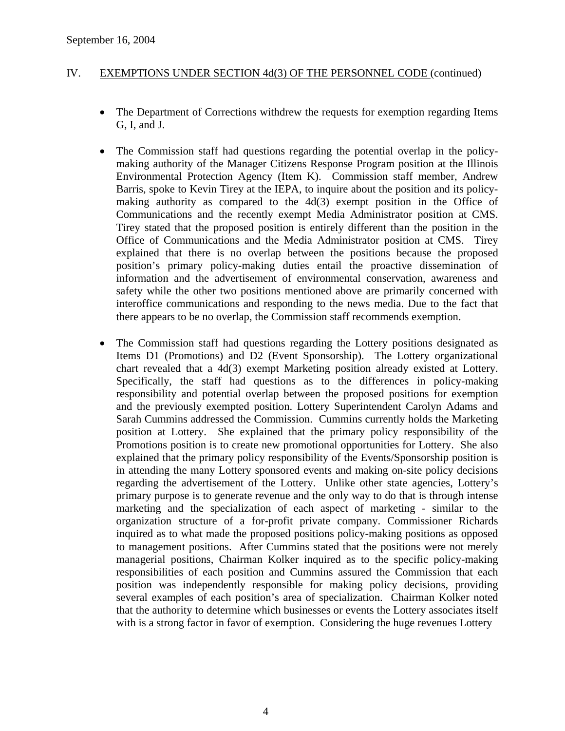- The Department of Corrections withdrew the requests for exemption regarding Items G, I, and J.
- The Commission staff had questions regarding the potential overlap in the policymaking authority of the Manager Citizens Response Program position at the Illinois Environmental Protection Agency (Item K). Commission staff member, Andrew Barris, spoke to Kevin Tirey at the IEPA, to inquire about the position and its policymaking authority as compared to the 4d(3) exempt position in the Office of Communications and the recently exempt Media Administrator position at CMS. Tirey stated that the proposed position is entirely different than the position in the Office of Communications and the Media Administrator position at CMS. Tirey explained that there is no overlap between the positions because the proposed position's primary policy-making duties entail the proactive dissemination of information and the advertisement of environmental conservation, awareness and safety while the other two positions mentioned above are primarily concerned with interoffice communications and responding to the news media. Due to the fact that there appears to be no overlap, the Commission staff recommends exemption.
- The Commission staff had questions regarding the Lottery positions designated as Items D1 (Promotions) and D2 (Event Sponsorship). The Lottery organizational chart revealed that a 4d(3) exempt Marketing position already existed at Lottery. Specifically, the staff had questions as to the differences in policy-making responsibility and potential overlap between the proposed positions for exemption and the previously exempted position. Lottery Superintendent Carolyn Adams and Sarah Cummins addressed the Commission. Cummins currently holds the Marketing position at Lottery. She explained that the primary policy responsibility of the Promotions position is to create new promotional opportunities for Lottery. She also explained that the primary policy responsibility of the Events/Sponsorship position is in attending the many Lottery sponsored events and making on-site policy decisions regarding the advertisement of the Lottery. Unlike other state agencies, Lottery's primary purpose is to generate revenue and the only way to do that is through intense marketing and the specialization of each aspect of marketing - similar to the organization structure of a for-profit private company. Commissioner Richards inquired as to what made the proposed positions policy-making positions as opposed to management positions. After Cummins stated that the positions were not merely managerial positions, Chairman Kolker inquired as to the specific policy-making responsibilities of each position and Cummins assured the Commission that each position was independently responsible for making policy decisions, providing several examples of each position's area of specialization. Chairman Kolker noted that the authority to determine which businesses or events the Lottery associates itself with is a strong factor in favor of exemption. Considering the huge revenues Lottery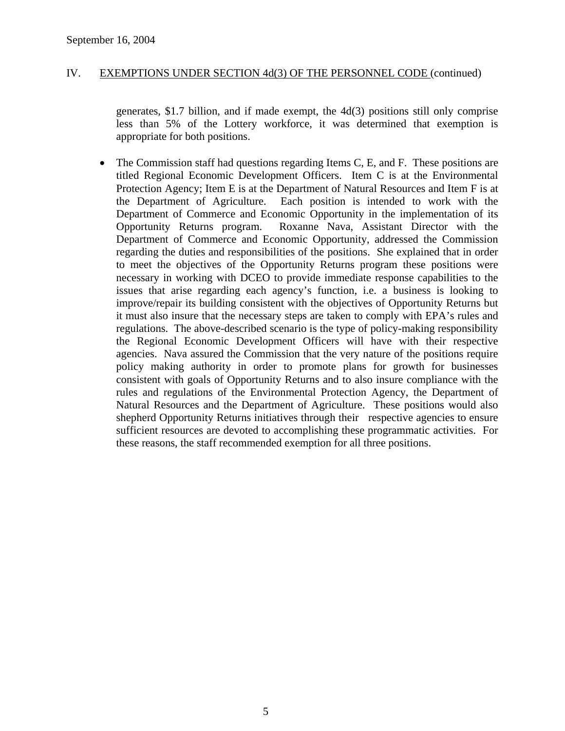generates, \$1.7 billion, and if made exempt, the 4d(3) positions still only comprise less than 5% of the Lottery workforce, it was determined that exemption is appropriate for both positions.

• The Commission staff had questions regarding Items C, E, and F. These positions are titled Regional Economic Development Officers. Item C is at the Environmental Protection Agency; Item E is at the Department of Natural Resources and Item F is at the Department of Agriculture. Each position is intended to work with the Department of Commerce and Economic Opportunity in the implementation of its Opportunity Returns program. Roxanne Nava, Assistant Director with the Department of Commerce and Economic Opportunity, addressed the Commission regarding the duties and responsibilities of the positions. She explained that in order to meet the objectives of the Opportunity Returns program these positions were necessary in working with DCEO to provide immediate response capabilities to the issues that arise regarding each agency's function, i.e. a business is looking to improve/repair its building consistent with the objectives of Opportunity Returns but it must also insure that the necessary steps are taken to comply with EPA's rules and regulations. The above-described scenario is the type of policy-making responsibility the Regional Economic Development Officers will have with their respective agencies. Nava assured the Commission that the very nature of the positions require policy making authority in order to promote plans for growth for businesses consistent with goals of Opportunity Returns and to also insure compliance with the rules and regulations of the Environmental Protection Agency, the Department of Natural Resources and the Department of Agriculture. These positions would also shepherd Opportunity Returns initiatives through their respective agencies to ensure sufficient resources are devoted to accomplishing these programmatic activities. For these reasons, the staff recommended exemption for all three positions.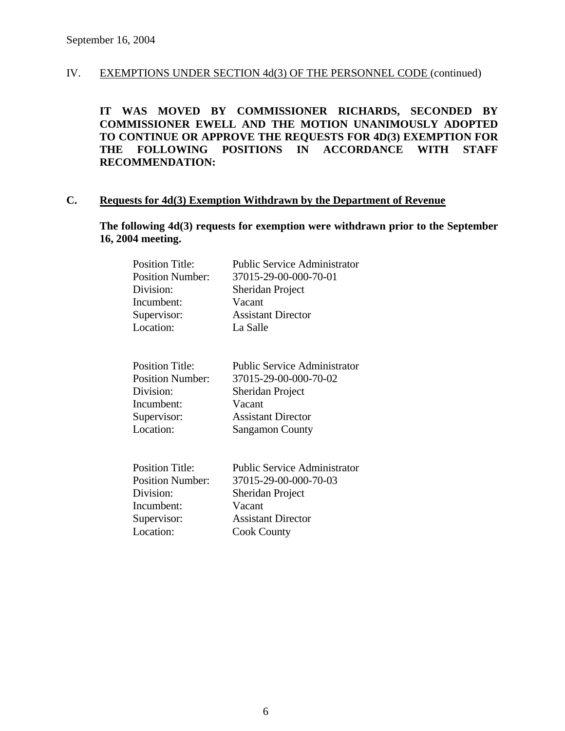**IT WAS MOVED BY COMMISSIONER RICHARDS, SECONDED BY COMMISSIONER EWELL AND THE MOTION UNANIMOUSLY ADOPTED TO CONTINUE OR APPROVE THE REQUESTS FOR 4D(3) EXEMPTION FOR THE FOLLOWING POSITIONS IN ACCORDANCE WITH STAFF RECOMMENDATION:** 

### **C. Requests for 4d(3) Exemption Withdrawn by the Department of Revenue**

**The following 4d(3) requests for exemption were withdrawn prior to the September 16, 2004 meeting.** 

| <b>Position Title:</b>  | <b>Public Service Administrator</b> |
|-------------------------|-------------------------------------|
| <b>Position Number:</b> | 37015-29-00-000-70-01               |
| Division:               | Sheridan Project                    |
| Incumbent:              | Vacant                              |
| Supervisor:             | <b>Assistant Director</b>           |
| Location:               | La Salle                            |
| <b>Position Title:</b>  | <b>Public Service Administrator</b> |
| <b>Position Number:</b> | 37015-29-00-000-70-02               |
| Division:               | Sheridan Project                    |
| Incumbent:              | Vacant                              |
| Supervisor:             | <b>Assistant Director</b>           |
| Location:               | <b>Sangamon County</b>              |
| <b>Position Title:</b>  | <b>Public Service Administrator</b> |
| <b>Position Number:</b> | 37015-29-00-000-70-03               |
| Division:               | Sheridan Project                    |
| Incumbent:              | Vacant                              |
| Supervisor:             | <b>Assistant Director</b>           |
| Location:               | <b>Cook County</b>                  |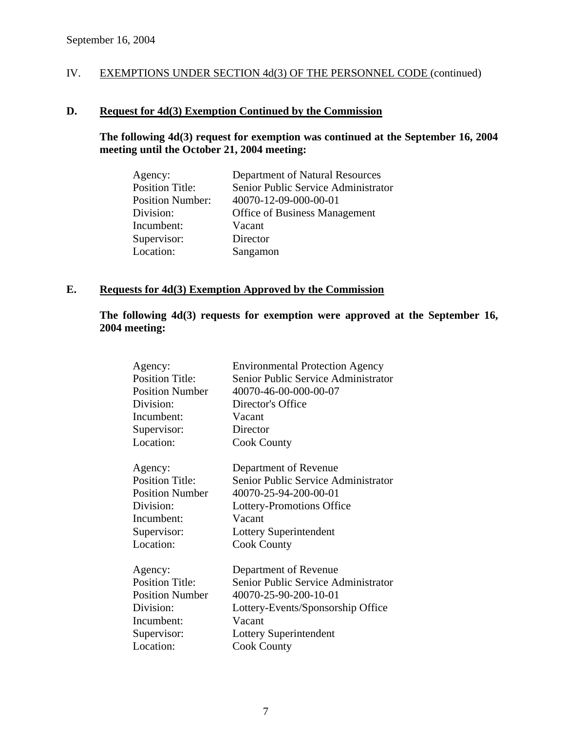### **D. Request for 4d(3) Exemption Continued by the Commission**

### **The following 4d(3) request for exemption was continued at the September 16, 2004 meeting until the October 21, 2004 meeting:**

| Agency:                 | Department of Natural Resources      |
|-------------------------|--------------------------------------|
| <b>Position Title:</b>  | Senior Public Service Administrator  |
| <b>Position Number:</b> | 40070-12-09-000-00-01                |
| Division:               | <b>Office of Business Management</b> |
| Incumbent:              | Vacant                               |
| Supervisor:             | Director                             |
| Location:               | Sangamon                             |

### **E. Requests for 4d(3) Exemption Approved by the Commission**

### **The following 4d(3) requests for exemption were approved at the September 16, 2004 meeting:**

| Agency:                | <b>Environmental Protection Agency</b> |
|------------------------|----------------------------------------|
| <b>Position Title:</b> | Senior Public Service Administrator    |
| <b>Position Number</b> | 40070-46-00-000-00-07                  |
| Division:              | Director's Office                      |
| Incumbent:             | Vacant                                 |
| Supervisor:            | Director                               |
| Location:              | <b>Cook County</b>                     |
| Agency:                | Department of Revenue                  |
| <b>Position Title:</b> | Senior Public Service Administrator    |
| <b>Position Number</b> | 40070-25-94-200-00-01                  |
| Division:              | Lottery-Promotions Office              |
| Incumbent:             | Vacant                                 |
| Supervisor:            | Lottery Superintendent                 |
| Location:              | <b>Cook County</b>                     |
| Agency:                | Department of Revenue                  |
| <b>Position Title:</b> | Senior Public Service Administrator    |
| <b>Position Number</b> | 40070-25-90-200-10-01                  |
| Division:              | Lottery-Events/Sponsorship Office      |
| Incumbent:             | Vacant                                 |
| Supervisor:            | Lottery Superintendent                 |
| Location:              | <b>Cook County</b>                     |
|                        |                                        |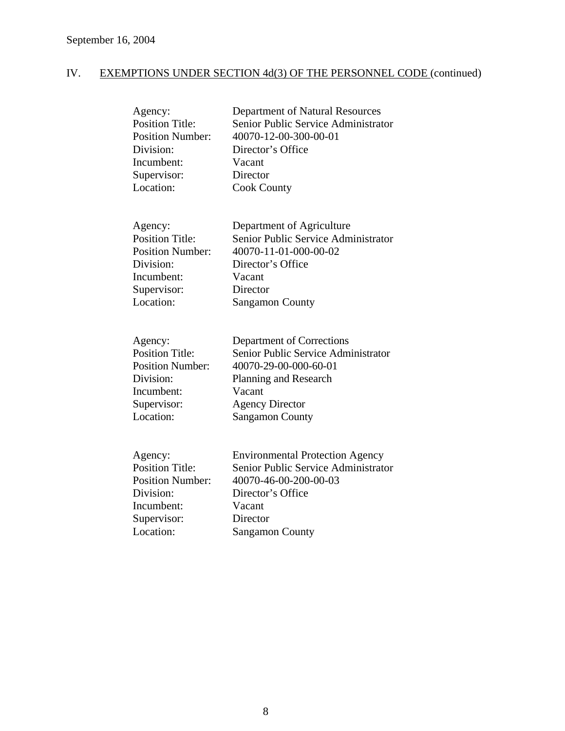| Agency:<br><b>Position Title:</b><br><b>Position Number:</b><br>Division:<br>Incumbent:<br>Supervisor:<br>Location: | Department of Natural Resources<br>Senior Public Service Administrator<br>40070-12-00-300-00-01<br>Director's Office<br>Vacant<br>Director<br><b>Cook County</b>                        |
|---------------------------------------------------------------------------------------------------------------------|-----------------------------------------------------------------------------------------------------------------------------------------------------------------------------------------|
| Agency:<br><b>Position Title:</b><br><b>Position Number:</b><br>Division:<br>Incumbent:<br>Supervisor:<br>Location: | Department of Agriculture<br>Senior Public Service Administrator<br>40070-11-01-000-00-02<br>Director's Office<br>Vacant<br>Director<br><b>Sangamon County</b>                          |
| Agency:<br><b>Position Title:</b><br><b>Position Number:</b><br>Division:<br>Incumbent:<br>Supervisor:<br>Location: | Department of Corrections<br>Senior Public Service Administrator<br>40070-29-00-000-60-01<br><b>Planning and Research</b><br>Vacant<br><b>Agency Director</b><br><b>Sangamon County</b> |
| Agency:<br><b>Position Title:</b><br><b>Position Number:</b><br>Division:<br>Incumbent:<br>Supervisor:<br>Location: | <b>Environmental Protection Agency</b><br>Senior Public Service Administrator<br>40070-46-00-200-00-03<br>Director's Office<br>Vacant<br>Director<br><b>Sangamon County</b>             |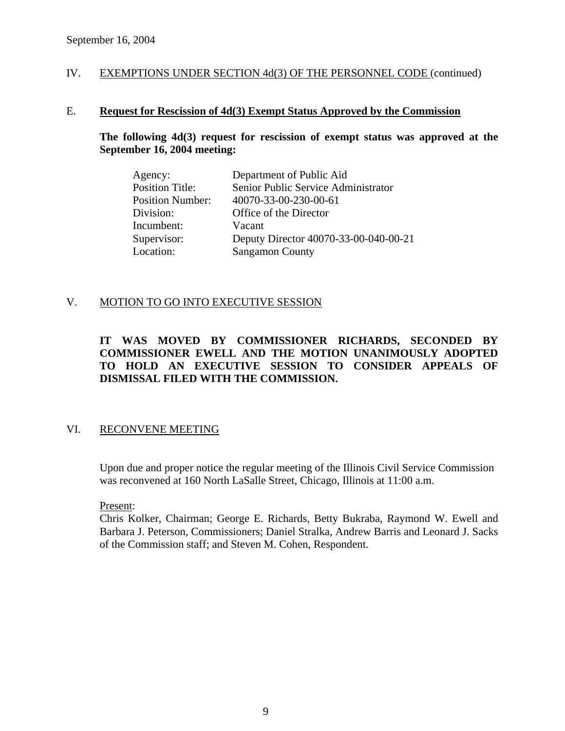### E. **Request for Rescission of 4d(3) Exempt Status Approved by the Commission**

### **The following 4d(3) request for rescission of exempt status was approved at the September 16, 2004 meeting:**

| Agency:                 | Department of Public Aid              |
|-------------------------|---------------------------------------|
| <b>Position Title:</b>  | Senior Public Service Administrator   |
| <b>Position Number:</b> | 40070-33-00-230-00-61                 |
| Division:               | Office of the Director                |
| Incumbent:              | Vacant                                |
| Supervisor:             | Deputy Director 40070-33-00-040-00-21 |
| Location:               | <b>Sangamon County</b>                |

### V. MOTION TO GO INTO EXECUTIVE SESSION

### **IT WAS MOVED BY COMMISSIONER RICHARDS, SECONDED BY COMMISSIONER EWELL AND THE MOTION UNANIMOUSLY ADOPTED TO HOLD AN EXECUTIVE SESSION TO CONSIDER APPEALS OF DISMISSAL FILED WITH THE COMMISSION.**

### VI. RECONVENE MEETING

Upon due and proper notice the regular meeting of the Illinois Civil Service Commission was reconvened at 160 North LaSalle Street, Chicago, Illinois at 11:00 a.m.

Present:

Chris Kolker, Chairman; George E. Richards, Betty Bukraba, Raymond W. Ewell and Barbara J. Peterson, Commissioners; Daniel Stralka, Andrew Barris and Leonard J. Sacks of the Commission staff; and Steven M. Cohen, Respondent.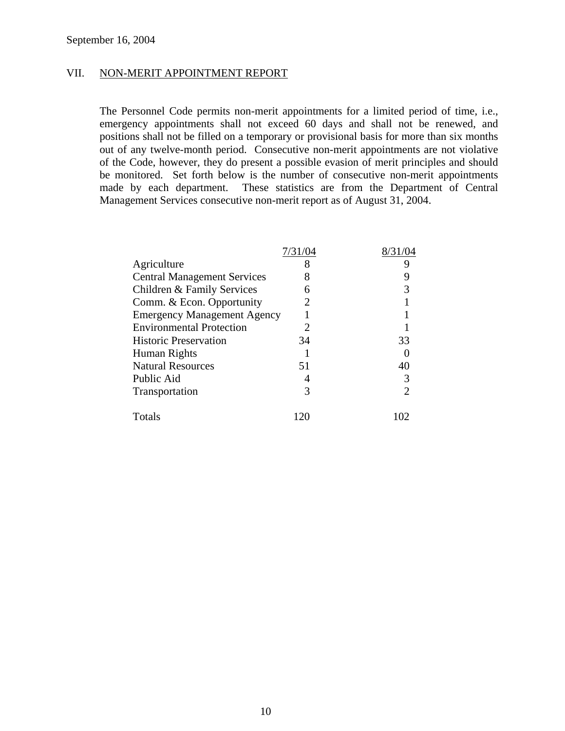### VII. NON-MERIT APPOINTMENT REPORT

The Personnel Code permits non-merit appointments for a limited period of time, i.e., emergency appointments shall not exceed 60 days and shall not be renewed, and positions shall not be filled on a temporary or provisional basis for more than six months out of any twelve-month period. Consecutive non-merit appointments are not violative of the Code, however, they do present a possible evasion of merit principles and should be monitored. Set forth below is the number of consecutive non-merit appointments made by each department. These statistics are from the Department of Central Management Services consecutive non-merit report as of August 31, 2004.

|                                    | 7/31/04 |    |
|------------------------------------|---------|----|
| Agriculture                        | 8       |    |
| <b>Central Management Services</b> |         |    |
| Children & Family Services         |         |    |
| Comm. & Econ. Opportunity          | 2       |    |
| <b>Emergency Management Agency</b> |         |    |
| <b>Environmental Protection</b>    |         |    |
| <b>Historic Preservation</b>       | 34      | 33 |
| Human Rights                       |         |    |
| <b>Natural Resources</b>           | 51      |    |
| Public Aid                         |         |    |
| Transportation                     | 3       |    |
| Totals                             |         |    |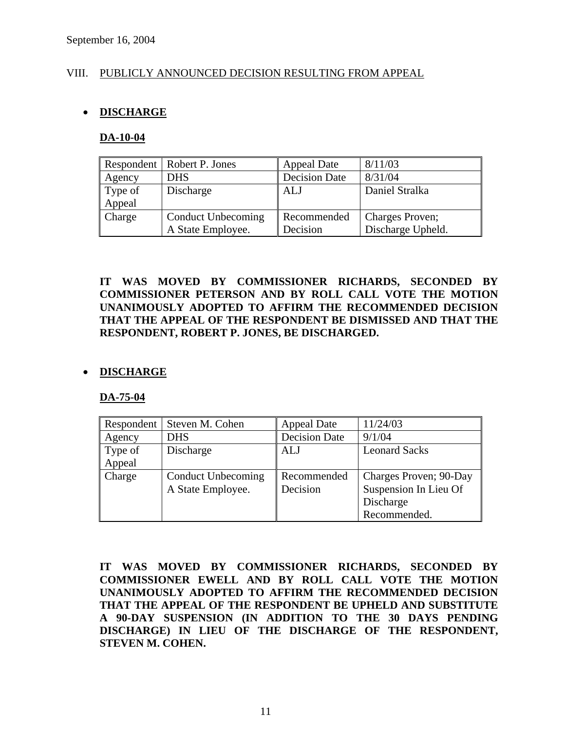### VIII. PUBLICLY ANNOUNCED DECISION RESULTING FROM APPEAL

### • **DISCHARGE**

#### **DA-10-04**

|         | Respondent   Robert P. Jones | <b>Appeal Date</b>   | 8/11/03           |
|---------|------------------------------|----------------------|-------------------|
| Agency  | <b>DHS</b>                   | <b>Decision Date</b> | 8/31/04           |
| Type of | Discharge                    | ALJ                  | Daniel Stralka    |
| Appeal  |                              |                      |                   |
| Charge  | <b>Conduct Unbecoming</b>    | Recommended          | Charges Proven;   |
|         | A State Employee.            | Decision             | Discharge Upheld. |

**IT WAS MOVED BY COMMISSIONER RICHARDS, SECONDED BY COMMISSIONER PETERSON AND BY ROLL CALL VOTE THE MOTION UNANIMOUSLY ADOPTED TO AFFIRM THE RECOMMENDED DECISION THAT THE APPEAL OF THE RESPONDENT BE DISMISSED AND THAT THE RESPONDENT, ROBERT P. JONES, BE DISCHARGED.** 

### • **DISCHARGE**

#### **DA-75-04**

| Respondent | Steven M. Cohen           | <b>Appeal Date</b>   | 11/24/03               |
|------------|---------------------------|----------------------|------------------------|
| Agency     | <b>DHS</b>                | <b>Decision Date</b> | 9/1/04                 |
| Type of    | Discharge                 | ALJ                  | <b>Leonard Sacks</b>   |
| Appeal     |                           |                      |                        |
| Charge     | <b>Conduct Unbecoming</b> | Recommended          | Charges Proven; 90-Day |
|            | A State Employee.         | Decision             | Suspension In Lieu Of  |
|            |                           |                      | Discharge              |
|            |                           |                      | Recommended.           |

**IT WAS MOVED BY COMMISSIONER RICHARDS, SECONDED BY COMMISSIONER EWELL AND BY ROLL CALL VOTE THE MOTION UNANIMOUSLY ADOPTED TO AFFIRM THE RECOMMENDED DECISION THAT THE APPEAL OF THE RESPONDENT BE UPHELD AND SUBSTITUTE A 90-DAY SUSPENSION (IN ADDITION TO THE 30 DAYS PENDING DISCHARGE) IN LIEU OF THE DISCHARGE OF THE RESPONDENT, STEVEN M. COHEN.**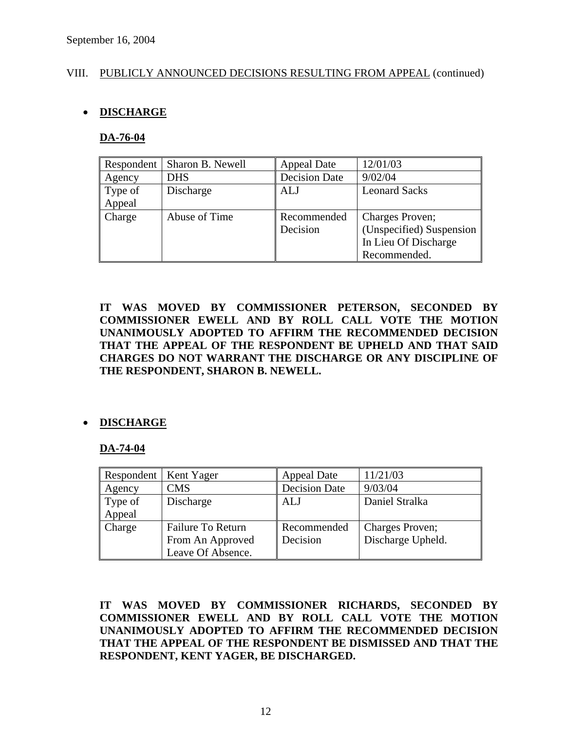### VIII. PUBLICLY ANNOUNCED DECISIONS RESULTING FROM APPEAL (continued)

### • **DISCHARGE**

### **DA-76-04**

| Respondent    | Sharon B. Newell | <b>Appeal Date</b>   | 12/01/03                 |
|---------------|------------------|----------------------|--------------------------|
| Agency        | <b>DHS</b>       | <b>Decision Date</b> | 9/02/04                  |
| Type of       | Discharge        | <b>ALJ</b>           | <b>Leonard Sacks</b>     |
| Appeal        |                  |                      |                          |
| <b>Charge</b> | Abuse of Time    | Recommended          | Charges Proven;          |
|               |                  | Decision             | (Unspecified) Suspension |
|               |                  |                      | In Lieu Of Discharge     |
|               |                  |                      | Recommended.             |

**IT WAS MOVED BY COMMISSIONER PETERSON, SECONDED BY COMMISSIONER EWELL AND BY ROLL CALL VOTE THE MOTION UNANIMOUSLY ADOPTED TO AFFIRM THE RECOMMENDED DECISION THAT THE APPEAL OF THE RESPONDENT BE UPHELD AND THAT SAID CHARGES DO NOT WARRANT THE DISCHARGE OR ANY DISCIPLINE OF THE RESPONDENT, SHARON B. NEWELL.** 

### • **DISCHARGE**

### **DA-74-04**

| Respondent   Kent Yager |                   | <b>Appeal Date</b>   | 11/21/03          |
|-------------------------|-------------------|----------------------|-------------------|
| Agency                  | <b>CMS</b>        | <b>Decision Date</b> | 9/03/04           |
| Type of                 | Discharge         | <b>ALJ</b>           | Daniel Stralka    |
| Appeal                  |                   |                      |                   |
| Charge                  | Failure To Return | Recommended          | Charges Proven;   |
|                         | From An Approved  | Decision             | Discharge Upheld. |
|                         | Leave Of Absence. |                      |                   |

**IT WAS MOVED BY COMMISSIONER RICHARDS, SECONDED BY COMMISSIONER EWELL AND BY ROLL CALL VOTE THE MOTION UNANIMOUSLY ADOPTED TO AFFIRM THE RECOMMENDED DECISION THAT THE APPEAL OF THE RESPONDENT BE DISMISSED AND THAT THE RESPONDENT, KENT YAGER, BE DISCHARGED.**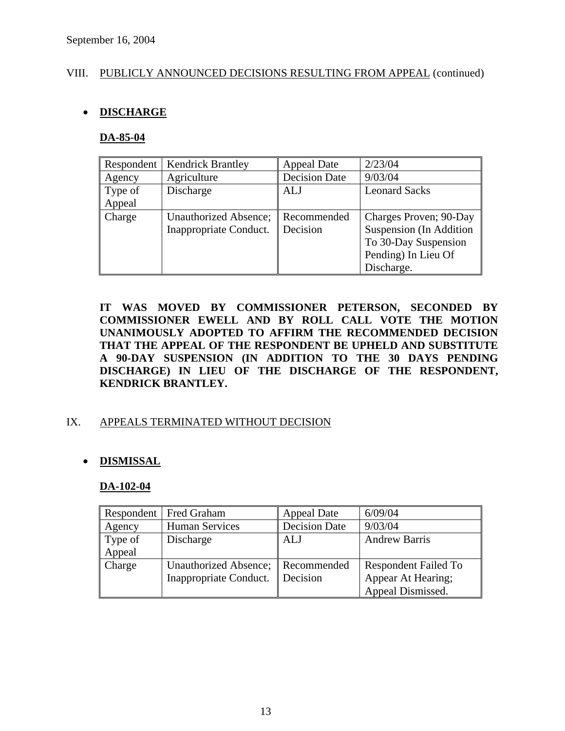### VIII. PUBLICLY ANNOUNCED DECISIONS RESULTING FROM APPEAL (continued)

### • **DISCHARGE**

### **DA-85-04**

| Respondent | <b>Kendrick Brantley</b> | <b>Appeal Date</b>   | 2/23/04                 |
|------------|--------------------------|----------------------|-------------------------|
| Agency     | Agriculture              | <b>Decision Date</b> | 9/03/04                 |
| Type of    | Discharge                | ALJ                  | <b>Leonard Sacks</b>    |
| Appeal     |                          |                      |                         |
| Charge     | Unauthorized Absence;    | Recommended          | Charges Proven; 90-Day  |
|            | Inappropriate Conduct.   | Decision             | Suspension (In Addition |
|            |                          |                      | To 30-Day Suspension    |
|            |                          |                      | Pending) In Lieu Of     |
|            |                          |                      | Discharge.              |

**IT WAS MOVED BY COMMISSIONER PETERSON, SECONDED BY COMMISSIONER EWELL AND BY ROLL CALL VOTE THE MOTION UNANIMOUSLY ADOPTED TO AFFIRM THE RECOMMENDED DECISION THAT THE APPEAL OF THE RESPONDENT BE UPHELD AND SUBSTITUTE A 90-DAY SUSPENSION (IN ADDITION TO THE 30 DAYS PENDING DISCHARGE) IN LIEU OF THE DISCHARGE OF THE RESPONDENT, KENDRICK BRANTLEY.** 

### IX. APPEALS TERMINATED WITHOUT DECISION

### • **DISMISSAL**

#### **DA-102-04**

|         | Respondent   Fred Graham | <b>Appeal Date</b>   | 6/09/04                     |
|---------|--------------------------|----------------------|-----------------------------|
| Agency  | <b>Human Services</b>    | <b>Decision Date</b> | 9/03/04                     |
| Type of | Discharge                | ALJ                  | <b>Andrew Barris</b>        |
| Appeal  |                          |                      |                             |
| Charge  | Unauthorized Absence;    | Recommended          | <b>Respondent Failed To</b> |
|         | Inappropriate Conduct.   | Decision             | Appear At Hearing;          |
|         |                          |                      | Appeal Dismissed.           |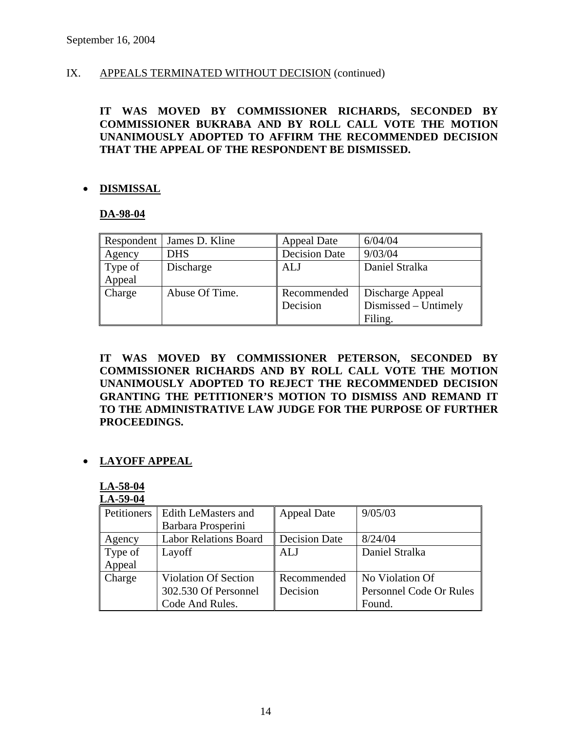### IX. APPEALS TERMINATED WITHOUT DECISION (continued)

### **IT WAS MOVED BY COMMISSIONER RICHARDS, SECONDED BY COMMISSIONER BUKRABA AND BY ROLL CALL VOTE THE MOTION UNANIMOUSLY ADOPTED TO AFFIRM THE RECOMMENDED DECISION THAT THE APPEAL OF THE RESPONDENT BE DISMISSED.**

### • **DISMISSAL**

### **DA-98-04**

| Respondent | James D. Kline | <b>Appeal Date</b>   | 6/04/04              |
|------------|----------------|----------------------|----------------------|
| Agency     | <b>DHS</b>     | <b>Decision Date</b> | 9/03/04              |
| Type of    | Discharge      | <b>ALJ</b>           | Daniel Stralka       |
| Appeal     |                |                      |                      |
| Charge     | Abuse Of Time. | Recommended          | Discharge Appeal     |
|            |                | Decision             | Dismissed – Untimely |
|            |                |                      | Filing.              |

**IT WAS MOVED BY COMMISSIONER PETERSON, SECONDED BY COMMISSIONER RICHARDS AND BY ROLL CALL VOTE THE MOTION UNANIMOUSLY ADOPTED TO REJECT THE RECOMMENDED DECISION GRANTING THE PETITIONER'S MOTION TO DISMISS AND REMAND IT TO THE ADMINISTRATIVE LAW JUDGE FOR THE PURPOSE OF FURTHER PROCEEDINGS.** 

### • **LAYOFF APPEAL**

**LA-58-04 LA-59-04**

| Petitioners | <b>Edith LeMasters and</b>   | <b>Appeal Date</b>   | 9/05/03                 |
|-------------|------------------------------|----------------------|-------------------------|
|             | Barbara Prosperini           |                      |                         |
| Agency      | <b>Labor Relations Board</b> | <b>Decision Date</b> | 8/24/04                 |
| Type of     | Layoff                       | ALJ                  | Daniel Stralka          |
| Appeal      |                              |                      |                         |
| Charge      | <b>Violation Of Section</b>  | Recommended          | No Violation Of         |
|             | 302.530 Of Personnel         | Decision             | Personnel Code Or Rules |
|             | Code And Rules.              |                      | Found.                  |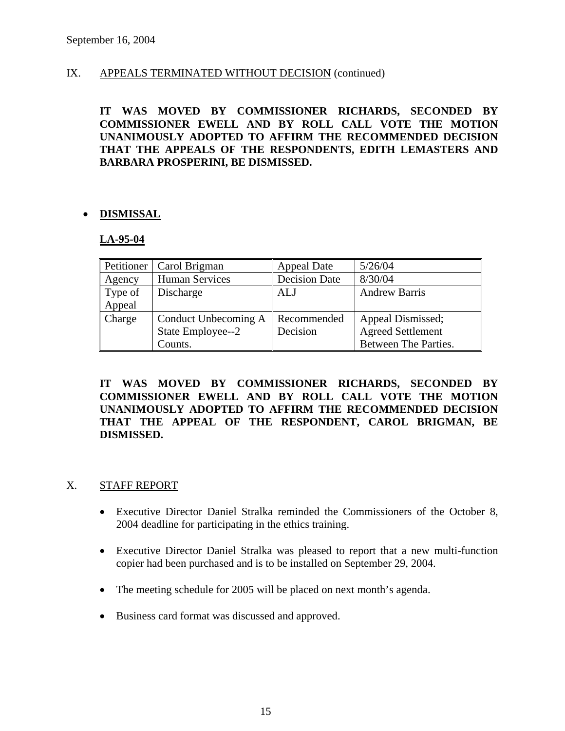### IX. APPEALS TERMINATED WITHOUT DECISION (continued)

**IT WAS MOVED BY COMMISSIONER RICHARDS, SECONDED BY COMMISSIONER EWELL AND BY ROLL CALL VOTE THE MOTION UNANIMOUSLY ADOPTED TO AFFIRM THE RECOMMENDED DECISION THAT THE APPEALS OF THE RESPONDENTS, EDITH LEMASTERS AND BARBARA PROSPERINI, BE DISMISSED.** 

### • **DISMISSAL**

#### **LA-95-04**

| Petitioner | Carol Brigman         | <b>Appeal Date</b>   | 5/26/04                  |
|------------|-----------------------|----------------------|--------------------------|
| Agency     | <b>Human Services</b> | <b>Decision Date</b> | 8/30/04                  |
| Type of    | Discharge             | ALJ                  | <b>Andrew Barris</b>     |
| Appeal     |                       |                      |                          |
| Charge     | Conduct Unbecoming A  | Recommended          | Appeal Dismissed;        |
|            | State Employee--2     | Decision             | <b>Agreed Settlement</b> |
|            | Counts.               |                      | Between The Parties.     |

**IT WAS MOVED BY COMMISSIONER RICHARDS, SECONDED BY COMMISSIONER EWELL AND BY ROLL CALL VOTE THE MOTION UNANIMOUSLY ADOPTED TO AFFIRM THE RECOMMENDED DECISION THAT THE APPEAL OF THE RESPONDENT, CAROL BRIGMAN, BE DISMISSED.** 

### X. STAFF REPORT

- Executive Director Daniel Stralka reminded the Commissioners of the October 8, 2004 deadline for participating in the ethics training.
- Executive Director Daniel Stralka was pleased to report that a new multi-function copier had been purchased and is to be installed on September 29, 2004.
- The meeting schedule for 2005 will be placed on next month's agenda.
- Business card format was discussed and approved.